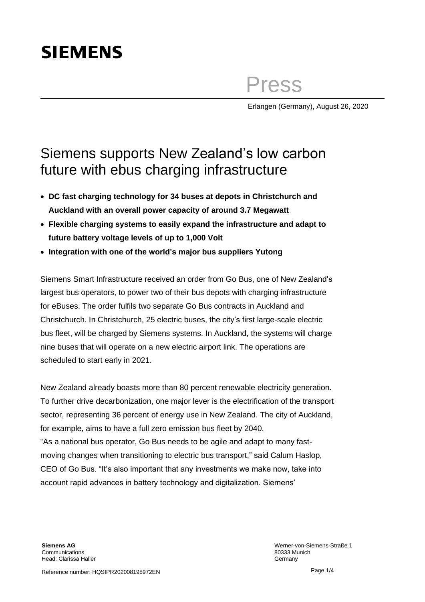## **SIEMENS**

Press

Erlangen (Germany), August 26, 2020

## Siemens supports New Zealand's low carbon future with ebus charging infrastructure

- **DC fast charging technology for 34 buses at depots in Christchurch and Auckland with an overall power capacity of around 3.7 Megawatt**
- **Flexible charging systems to easily expand the infrastructure and adapt to future battery voltage levels of up to 1,000 Volt**
- **Integration with one of the world's major bus suppliers Yutong**

Siemens Smart Infrastructure received an order from Go Bus, one of New Zealand's largest bus operators, to power two of their bus depots with charging infrastructure for eBuses. The order fulfils two separate Go Bus contracts in Auckland and Christchurch. In Christchurch, 25 electric buses, the city's first large-scale electric bus fleet, will be charged by Siemens systems. In Auckland, the systems will charge nine buses that will operate on a new electric airport link. The operations are scheduled to start early in 2021.

New Zealand already boasts more than 80 percent renewable electricity generation. To further drive decarbonization, one major lever is the electrification of the transport sector, representing 36 percent of energy use in New Zealand. The city of Auckland, for example, aims to have a full zero emission bus fleet by 2040. "As a national bus operator, Go Bus needs to be agile and adapt to many fastmoving changes when transitioning to electric bus transport," said Calum Haslop, CEO of Go Bus. "It's also important that any investments we make now, take into account rapid advances in battery technology and digitalization. Siemens'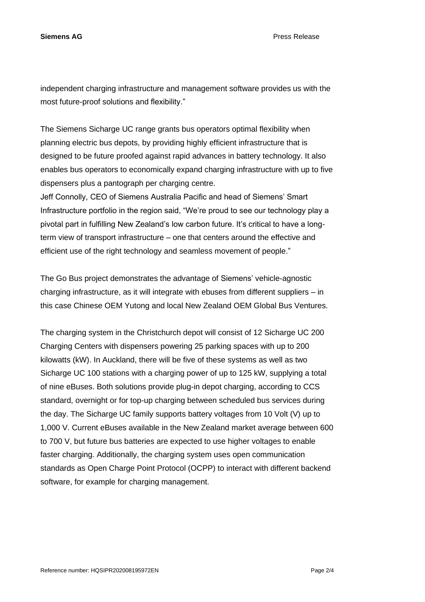**Siemens AG** Press Release

independent charging infrastructure and management software provides us with the most future-proof solutions and flexibility."

The Siemens Sicharge UC range grants bus operators optimal flexibility when planning electric bus depots, by providing highly efficient infrastructure that is designed to be future proofed against rapid advances in battery technology. It also enables bus operators to economically expand charging infrastructure with up to five dispensers plus a pantograph per charging centre.

Jeff Connolly, CEO of Siemens Australia Pacific and head of Siemens' Smart Infrastructure portfolio in the region said, "We're proud to see our technology play a pivotal part in fulfilling New Zealand's low carbon future. It's critical to have a longterm view of transport infrastructure – one that centers around the effective and efficient use of the right technology and seamless movement of people."

The Go Bus project demonstrates the advantage of Siemens' vehicle-agnostic charging infrastructure, as it will integrate with ebuses from different suppliers – in this case Chinese OEM Yutong and local New Zealand OEM Global Bus Ventures.

The charging system in the Christchurch depot will consist of 12 Sicharge UC 200 Charging Centers with dispensers powering 25 parking spaces with up to 200 kilowatts (kW). In Auckland, there will be five of these systems as well as two Sicharge UC 100 stations with a charging power of up to 125 kW, supplying a total of nine eBuses. Both solutions provide plug-in depot charging, according to CCS standard, overnight or for top-up charging between scheduled bus services during the day. The Sicharge UC family supports battery voltages from 10 Volt (V) up to 1,000 V. Current eBuses available in the New Zealand market average between 600 to 700 V, but future bus batteries are expected to use higher voltages to enable faster charging. Additionally, the charging system uses open communication standards as Open Charge Point Protocol (OCPP) to interact with different backend software, for example for charging management.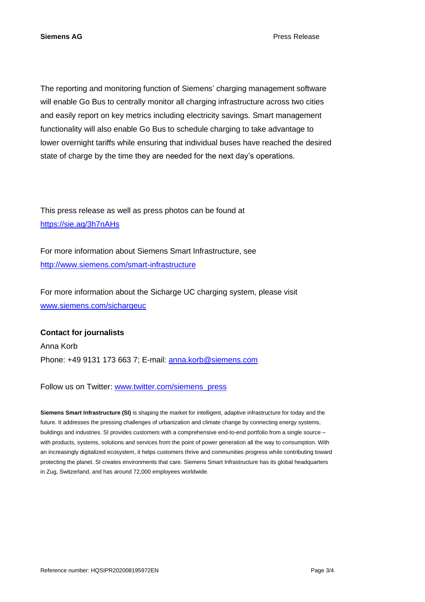The reporting and monitoring function of Siemens' charging management software will enable Go Bus to centrally monitor all charging infrastructure across two cities and easily report on key metrics including electricity savings. Smart management functionality will also enable Go Bus to schedule charging to take advantage to lower overnight tariffs while ensuring that individual buses have reached the desired state of charge by the time they are needed for the next day's operations.

This press release as well as press photos can be found at <https://sie.ag/3h7nAHs>

For more information about Siemens Smart Infrastructure, see <http://www.siemens.com/smart-infrastructure>

For more information about the Sicharge UC charging system, please visit [www.siemens.com/sichargeuc](http://www.siemens.com/sichargeuc)

**Contact for journalists** Anna Korb Phone: +49 9131 173 663 7; E-mail: [anna.korb@siemens.com](mailto:anna.korb@siemens.com)

Follow us on Twitter: [www.twitter.com/siemens\\_press](http://www.twitter.com/siemens_press)

**Siemens Smart Infrastructure (SI)** is shaping the market for intelligent, adaptive infrastructure for today and the future. It addresses the pressing challenges of urbanization and climate change by connecting energy systems, buildings and industries. SI provides customers with a comprehensive end-to-end portfolio from a single source – with products, systems, solutions and services from the point of power generation all the way to consumption. With an increasingly digitalized ecosystem, it helps customers thrive and communities progress while contributing toward protecting the planet. SI creates environments that care. Siemens Smart Infrastructure has its global headquarters in Zug, Switzerland, and has around 72,000 employees worldwide.